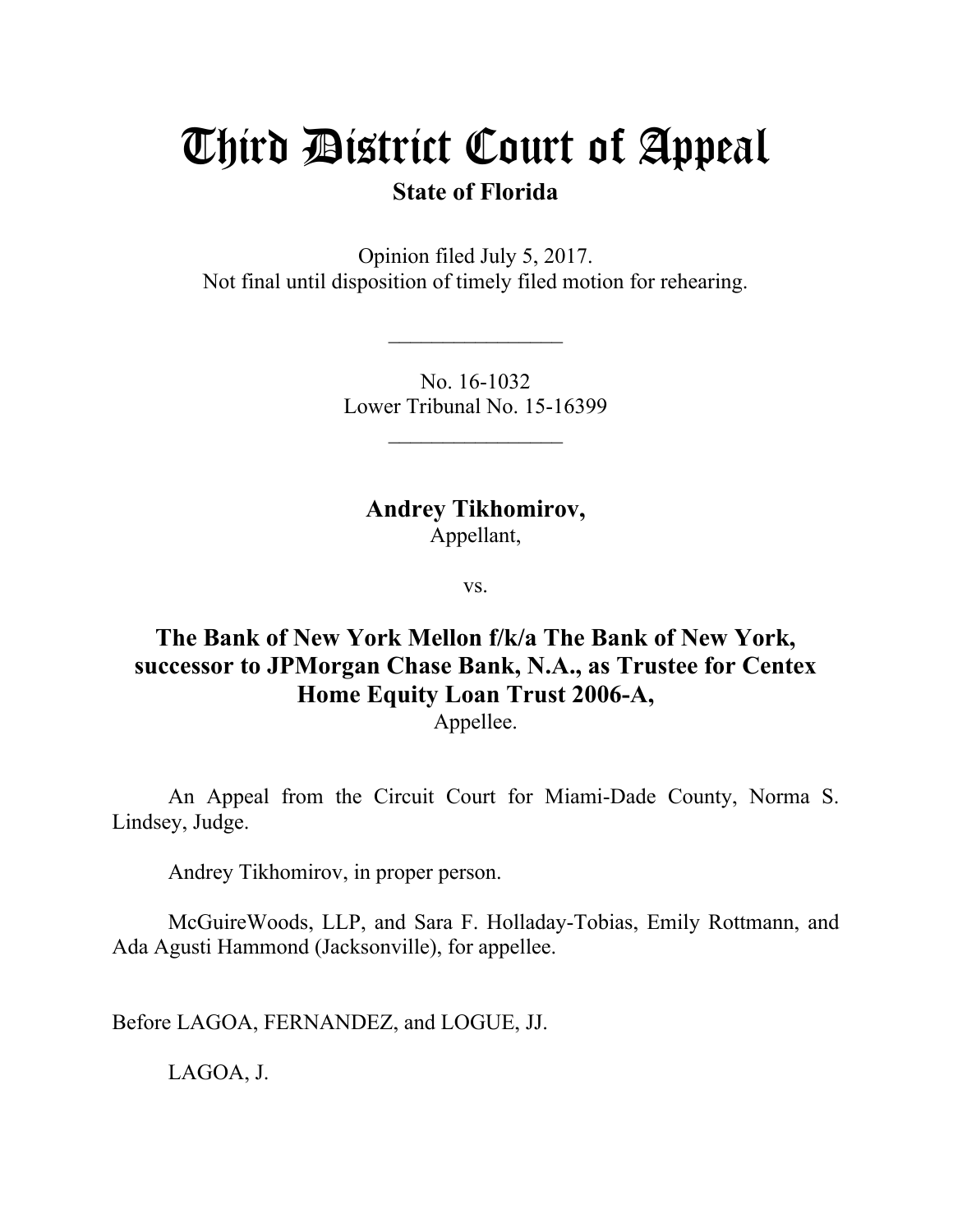# Third District Court of Appeal

### **State of Florida**

Opinion filed July 5, 2017. Not final until disposition of timely filed motion for rehearing.

> No. 16-1032 Lower Tribunal No. 15-16399

> > $\frac{1}{2}$

 $\mathcal{L}_\text{max}$ 

**Andrey Tikhomirov,** Appellant,

vs.

## **The Bank of New York Mellon f/k/a The Bank of New York, successor to JPMorgan Chase Bank, N.A., as Trustee for Centex Home Equity Loan Trust 2006-A,**

Appellee.

An Appeal from the Circuit Court for Miami-Dade County, Norma S. Lindsey, Judge.

Andrey Tikhomirov, in proper person.

McGuireWoods, LLP, and Sara F. Holladay-Tobias, Emily Rottmann, and Ada Agusti Hammond (Jacksonville), for appellee.

Before LAGOA, FERNANDEZ, and LOGUE, JJ.

LAGOA, J.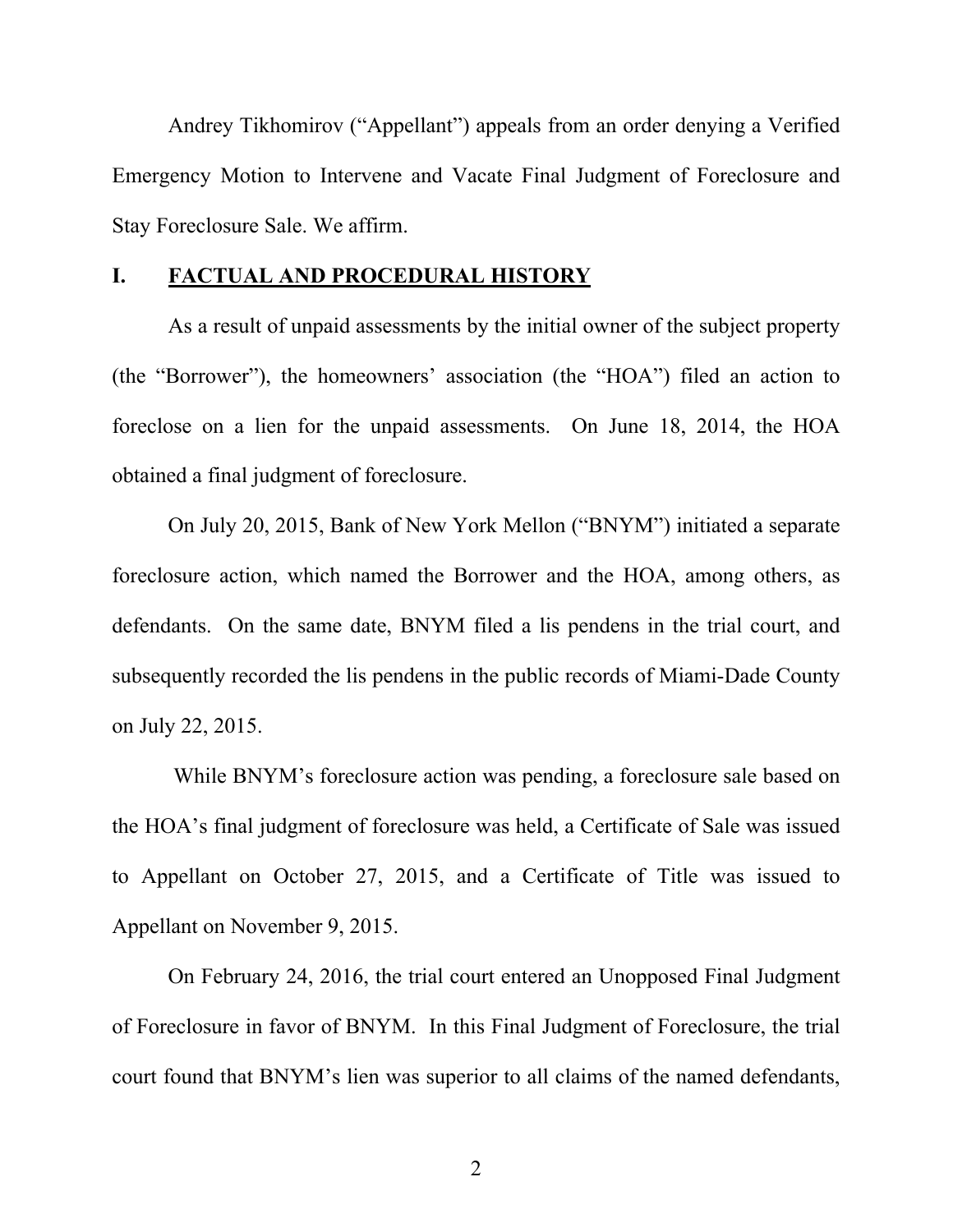Andrey Tikhomirov ("Appellant") appeals from an order denying a Verified Emergency Motion to Intervene and Vacate Final Judgment of Foreclosure and Stay Foreclosure Sale. We affirm.

#### **I. FACTUAL AND PROCEDURAL HISTORY**

As a result of unpaid assessments by the initial owner of the subject property (the "Borrower"), the homeowners' association (the "HOA") filed an action to foreclose on a lien for the unpaid assessments. On June 18, 2014, the HOA obtained a final judgment of foreclosure.

On July 20, 2015, Bank of New York Mellon ("BNYM") initiated a separate foreclosure action, which named the Borrower and the HOA, among others, as defendants. On the same date, BNYM filed a lis pendens in the trial court, and subsequently recorded the lis pendens in the public records of Miami-Dade County on July 22, 2015.

While BNYM's foreclosure action was pending, a foreclosure sale based on the HOA's final judgment of foreclosure was held, a Certificate of Sale was issued to Appellant on October 27, 2015, and a Certificate of Title was issued to Appellant on November 9, 2015.

On February 24, 2016, the trial court entered an Unopposed Final Judgment of Foreclosure in favor of BNYM. In this Final Judgment of Foreclosure, the trial court found that BNYM's lien was superior to all claims of the named defendants,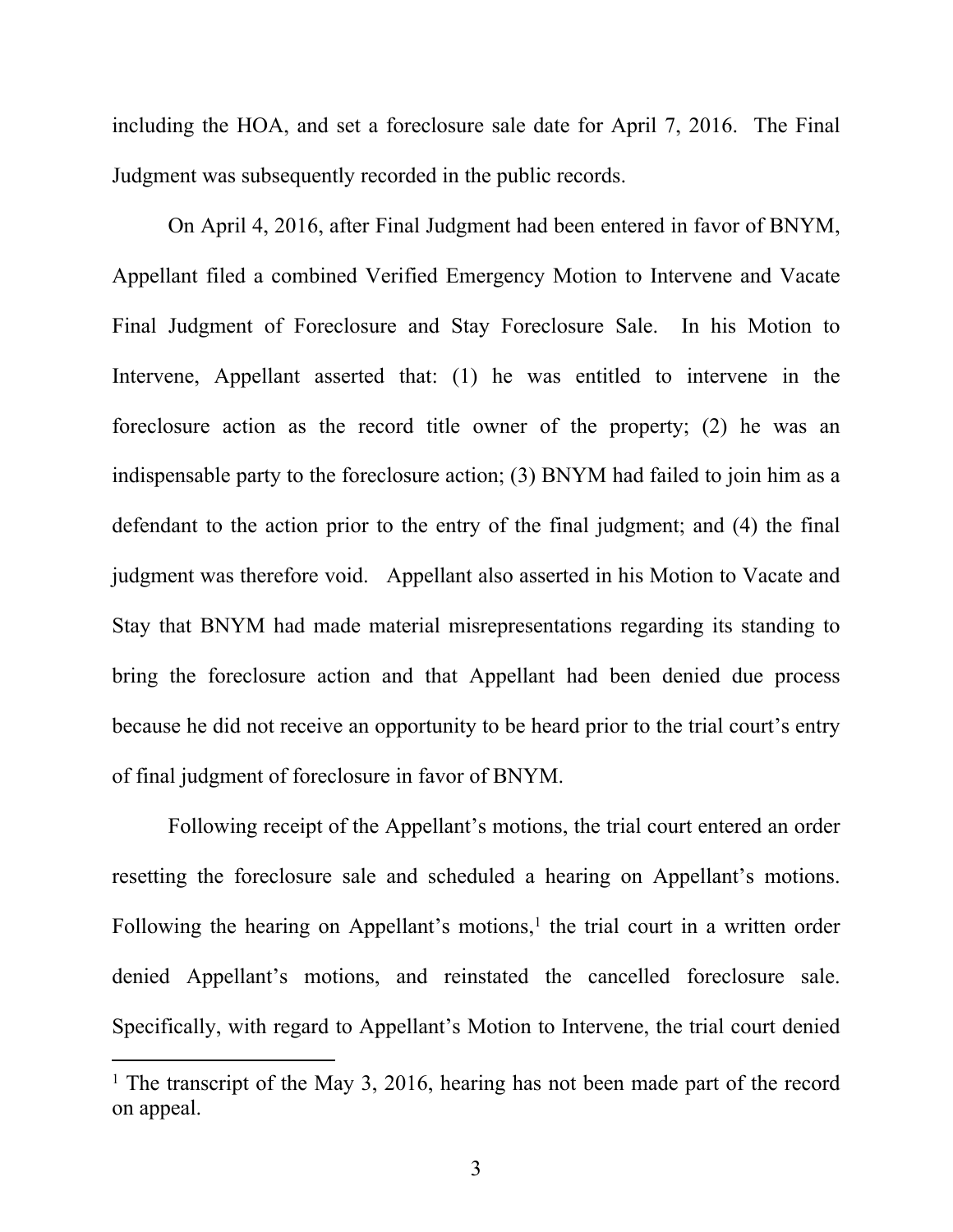including the HOA, and set a foreclosure sale date for April 7, 2016. The Final Judgment was subsequently recorded in the public records.

On April 4, 2016, after Final Judgment had been entered in favor of BNYM, Appellant filed a combined Verified Emergency Motion to Intervene and Vacate Final Judgment of Foreclosure and Stay Foreclosure Sale. In his Motion to Intervene, Appellant asserted that: (1) he was entitled to intervene in the foreclosure action as the record title owner of the property; (2) he was an indispensable party to the foreclosure action; (3) BNYM had failed to join him as a defendant to the action prior to the entry of the final judgment; and (4) the final judgment was therefore void. Appellant also asserted in his Motion to Vacate and Stay that BNYM had made material misrepresentations regarding its standing to bring the foreclosure action and that Appellant had been denied due process because he did not receive an opportunity to be heard prior to the trial court's entry of final judgment of foreclosure in favor of BNYM.

Following receipt of the Appellant's motions, the trial court entered an order resetting the foreclosure sale and scheduled a hearing on Appellant's motions. Following the hearing on Appellant's motions,<sup>1</sup> the trial court in a written order denied Appellant's motions, and reinstated the cancelled foreclosure sale. Specifically, with regard to Appellant's Motion to Intervene, the trial court denied

<sup>&</sup>lt;sup>1</sup> The transcript of the May 3, 2016, hearing has not been made part of the record on appeal.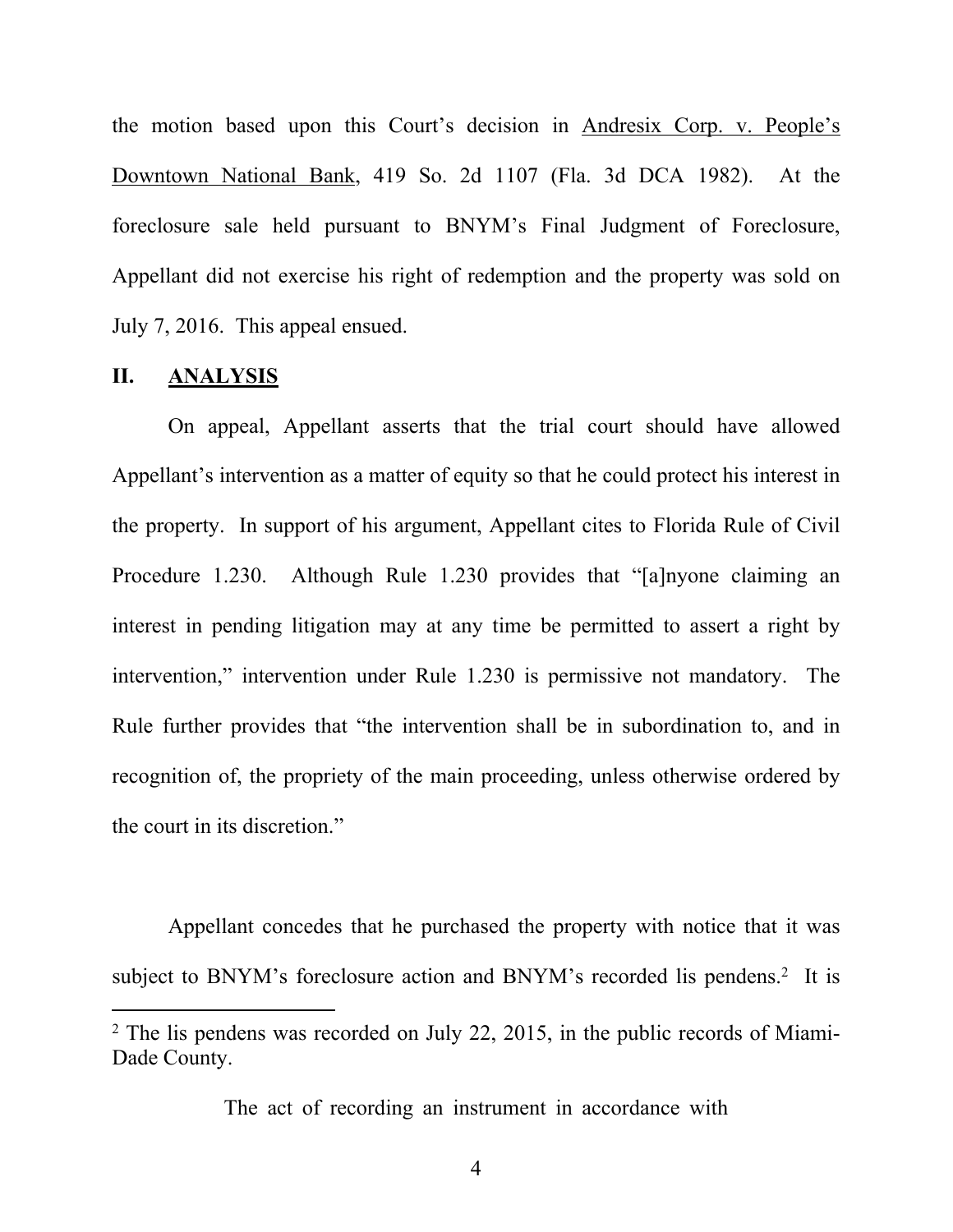the motion based upon this Court's decision in Andresix Corp. v. People's Downtown National Bank, 419 So. 2d 1107 (Fla. 3d DCA 1982). At the foreclosure sale held pursuant to BNYM's Final Judgment of Foreclosure, Appellant did not exercise his right of redemption and the property was sold on July 7, 2016. This appeal ensued.

#### **II. ANALYSIS**

On appeal, Appellant asserts that the trial court should have allowed Appellant's intervention as a matter of equity so that he could protect his interest in the property. In support of his argument, Appellant cites to Florida Rule of Civil Procedure 1.230. Although Rule 1.230 provides that "[a]nyone claiming an interest in pending litigation may at any time be permitted to assert a right by intervention," intervention under Rule 1.230 is permissive not mandatory. The Rule further provides that "the intervention shall be in subordination to, and in recognition of, the propriety of the main proceeding, unless otherwise ordered by the court in its discretion."

Appellant concedes that he purchased the property with notice that it was subject to BNYM's foreclosure action and BNYM's recorded lis pendens.<sup>2</sup> It is

The act of recording an instrument in accordance with

<sup>2</sup> The lis pendens was recorded on July 22, 2015, in the public records of Miami-Dade County.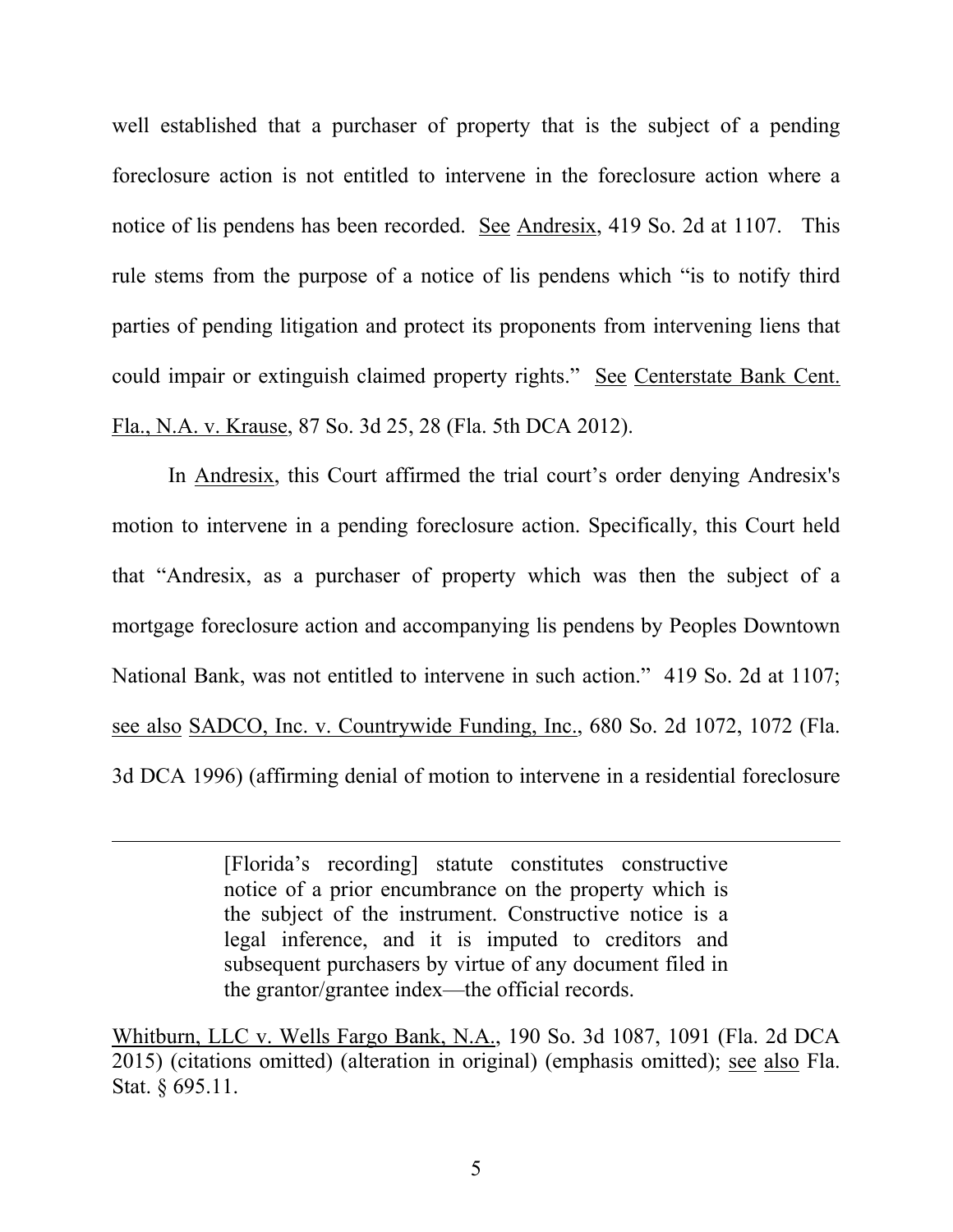well established that a purchaser of property that is the subject of a pending foreclosure action is not entitled to intervene in the foreclosure action where a notice of lis pendens has been recorded. See Andresix, 419 So. 2d at 1107. This rule stems from the purpose of a notice of lis pendens which "is to notify third parties of pending litigation and protect its proponents from intervening liens that could impair or extinguish claimed property rights." See Centerstate Bank Cent. Fla., N.A. v. Krause, 87 So. 3d 25, 28 (Fla. 5th DCA 2012).

In Andresix, this Court affirmed the trial court's order denying Andresix's motion to intervene in a pending foreclosure action. Specifically, this Court held that "Andresix, as a purchaser of property which was then the subject of a mortgage foreclosure action and accompanying lis pendens by Peoples Downtown National Bank, was not entitled to intervene in such action." 419 So. 2d at 1107; see also SADCO, Inc. v. Countrywide Funding, Inc., 680 So. 2d 1072, 1072 (Fla. 3d DCA 1996) (affirming denial of motion to intervene in a residential foreclosure

> [Florida's recording] statute constitutes constructive notice of a prior encumbrance on the property which is the subject of the instrument. Constructive notice is a legal inference, and it is imputed to creditors and subsequent purchasers by virtue of any document filed in the grantor/grantee index—the official records.

Whitburn, LLC v. Wells Fargo Bank, N.A., 190 So. 3d 1087, 1091 (Fla. 2d DCA 2015) (citations omitted) (alteration in original) (emphasis omitted); see also Fla. Stat. § 695.11.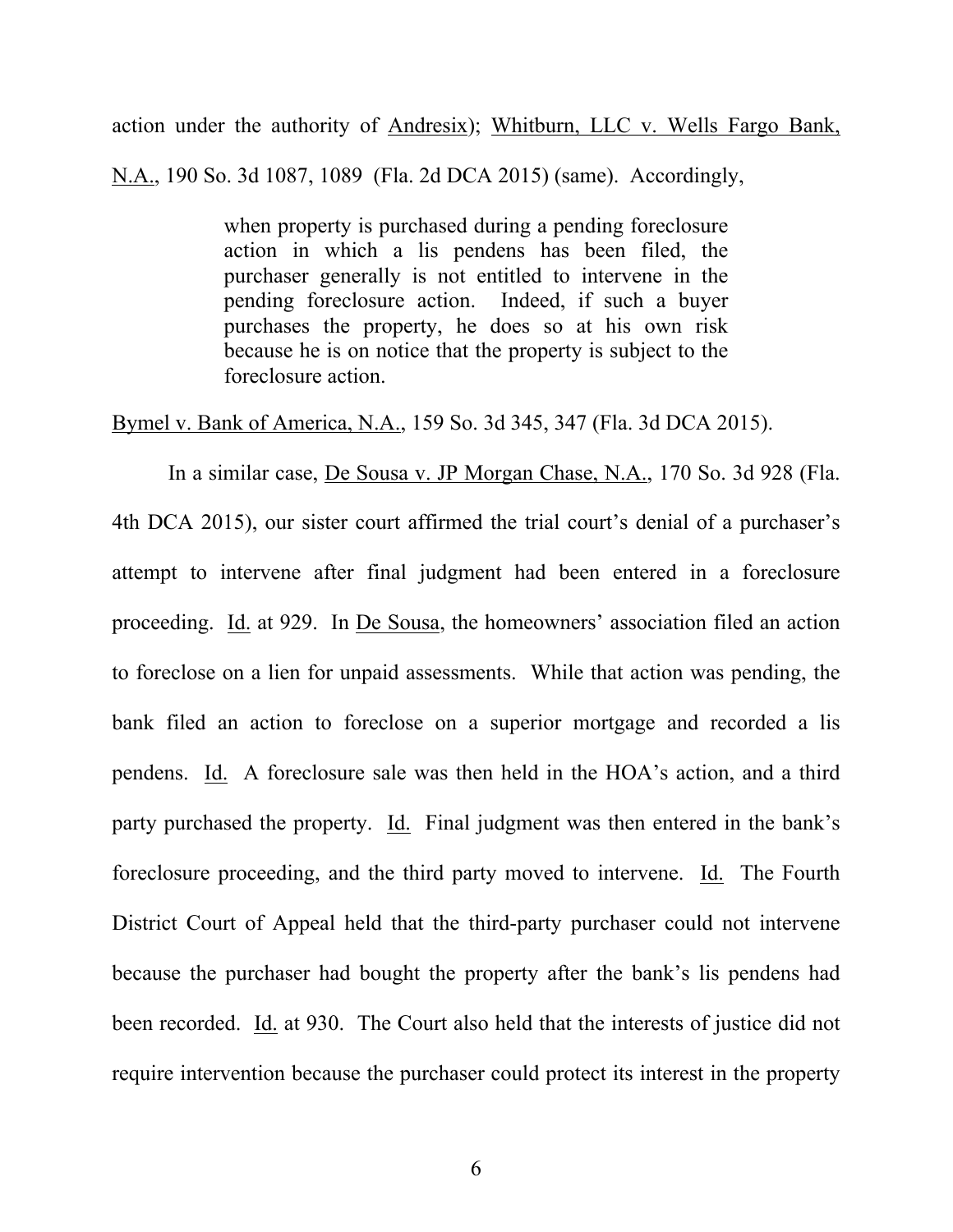action under the authority of Andresix); Whitburn, LLC v. Wells Fargo Bank,

N.A., 190 So. 3d 1087, 1089 (Fla. 2d DCA 2015) (same). Accordingly,

when property is purchased during a pending foreclosure action in which a lis pendens has been filed, the purchaser generally is not entitled to intervene in the pending foreclosure action. Indeed, if such a buyer purchases the property, he does so at his own risk because he is on notice that the property is subject to the foreclosure action.

Bymel v. Bank of America, N.A., 159 So. 3d 345, 347 (Fla. 3d DCA 2015).

In a similar case, De Sousa v. JP Morgan Chase, N.A., 170 So. 3d 928 (Fla. 4th DCA 2015), our sister court affirmed the trial court's denial of a purchaser's attempt to intervene after final judgment had been entered in a foreclosure proceeding. Id. at 929. In De Sousa, the homeowners' association filed an action to foreclose on a lien for unpaid assessments. While that action was pending, the bank filed an action to foreclose on a superior mortgage and recorded a lis pendens. Id. A foreclosure sale was then held in the HOA's action, and a third party purchased the property. Id. Final judgment was then entered in the bank's foreclosure proceeding, and the third party moved to intervene. Id. The Fourth District Court of Appeal held that the third-party purchaser could not intervene because the purchaser had bought the property after the bank's lis pendens had been recorded. Id. at 930. The Court also held that the interests of justice did not require intervention because the purchaser could protect its interest in the property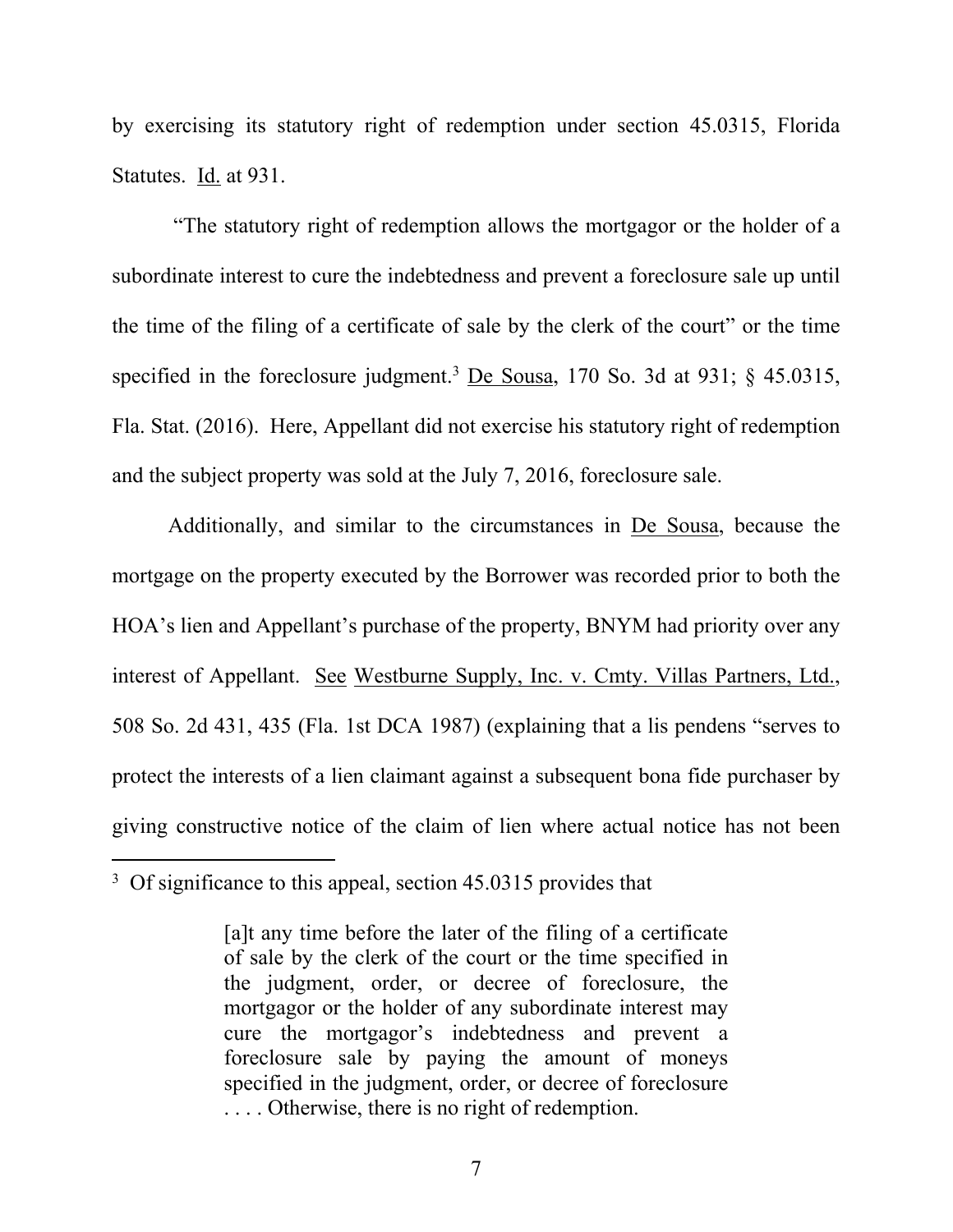by exercising its statutory right of redemption under section 45.0315, Florida Statutes. Id. at 931.

"The statutory right of redemption allows the mortgagor or the holder of a subordinate interest to cure the indebtedness and prevent a foreclosure sale up until the time of the filing of a certificate of sale by the clerk of the court" or the time specified in the foreclosure judgment.<sup>3</sup> De Sousa, 170 So. 3d at 931; § 45.0315, Fla. Stat. (2016). Here, Appellant did not exercise his statutory right of redemption and the subject property was sold at the July 7, 2016, foreclosure sale.

Additionally, and similar to the circumstances in De Sousa, because the mortgage on the property executed by the Borrower was recorded prior to both the HOA's lien and Appellant's purchase of the property, BNYM had priority over any interest of Appellant. See Westburne Supply, Inc. v. Cmty. Villas Partners, Ltd., 508 So. 2d 431, 435 (Fla. 1st DCA 1987) (explaining that a lis pendens "serves to protect the interests of a lien claimant against a subsequent bona fide purchaser by giving constructive notice of the claim of lien where actual notice has not been

<sup>&</sup>lt;sup>3</sup> Of significance to this appeal, section 45.0315 provides that

<sup>[</sup>a]t any time before the later of the filing of a certificate of sale by the clerk of the court or the time specified in the judgment, order, or decree of foreclosure, the mortgagor or the holder of any subordinate interest may cure the mortgagor's indebtedness and prevent a foreclosure sale by paying the amount of moneys specified in the judgment, order, or decree of foreclosure . . . . Otherwise, there is no right of redemption.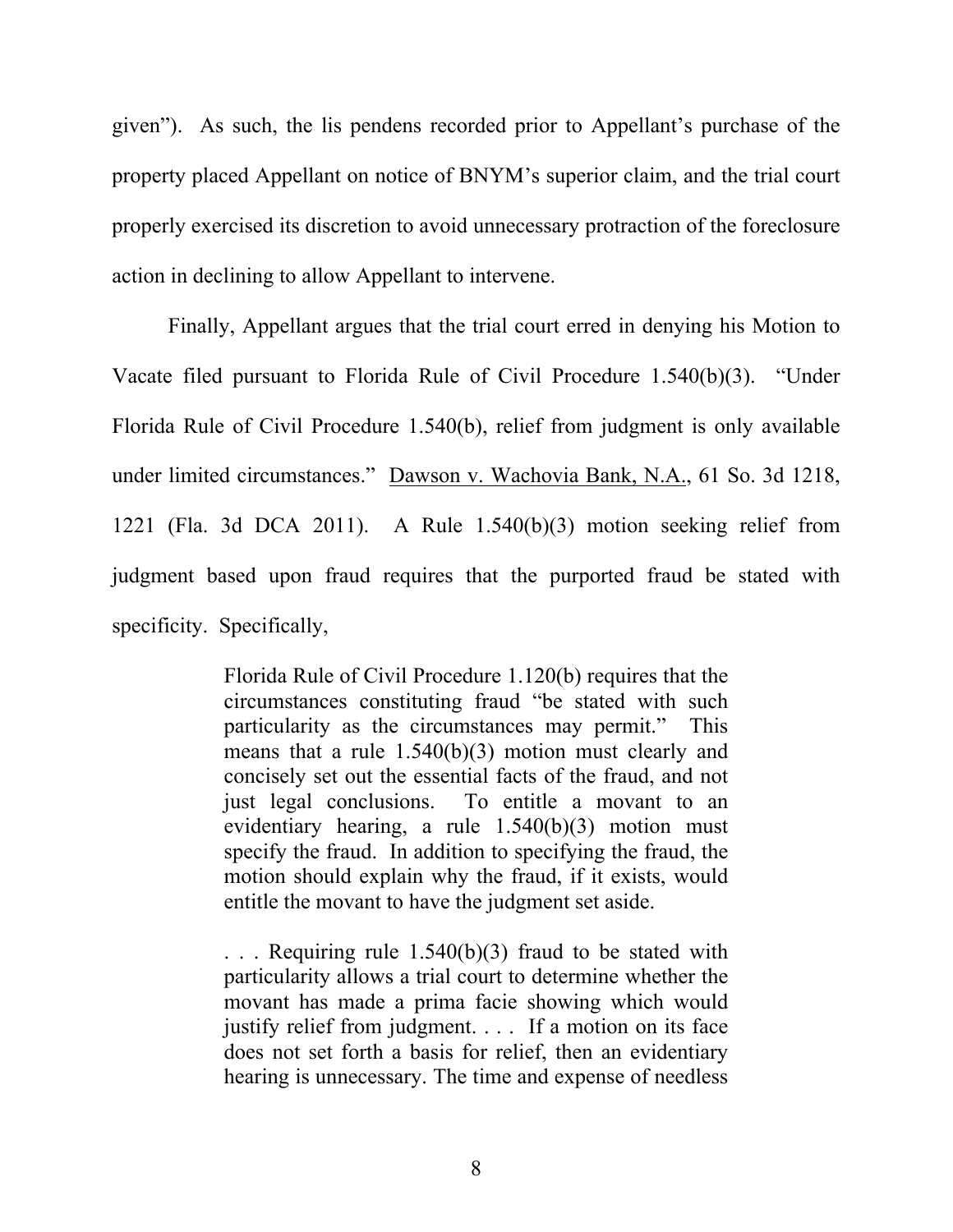given"). As such, the lis pendens recorded prior to Appellant's purchase of the property placed Appellant on notice of BNYM's superior claim, and the trial court properly exercised its discretion to avoid unnecessary protraction of the foreclosure action in declining to allow Appellant to intervene.

Finally, Appellant argues that the trial court erred in denying his Motion to Vacate filed pursuant to Florida Rule of Civil Procedure 1.540(b)(3). "Under Florida Rule of Civil Procedure 1.540(b), relief from judgment is only available under limited circumstances." Dawson v. Wachovia Bank, N.A., 61 So. 3d 1218, 1221 (Fla. 3d DCA 2011). A Rule 1.540(b)(3) motion seeking relief from judgment based upon fraud requires that the purported fraud be stated with specificity. Specifically,

> Florida Rule of Civil Procedure 1.120(b) requires that the circumstances constituting fraud "be stated with such particularity as the circumstances may permit." This means that a rule 1.540(b)(3) motion must clearly and concisely set out the essential facts of the fraud, and not just legal conclusions. To entitle a movant to an evidentiary hearing, a rule 1.540(b)(3) motion must specify the fraud. In addition to specifying the fraud, the motion should explain why the fraud, if it exists, would entitle the movant to have the judgment set aside.

> . . . Requiring rule 1.540(b)(3) fraud to be stated with particularity allows a trial court to determine whether the movant has made a prima facie showing which would justify relief from judgment. . . . If a motion on its face does not set forth a basis for relief, then an evidentiary hearing is unnecessary. The time and expense of needless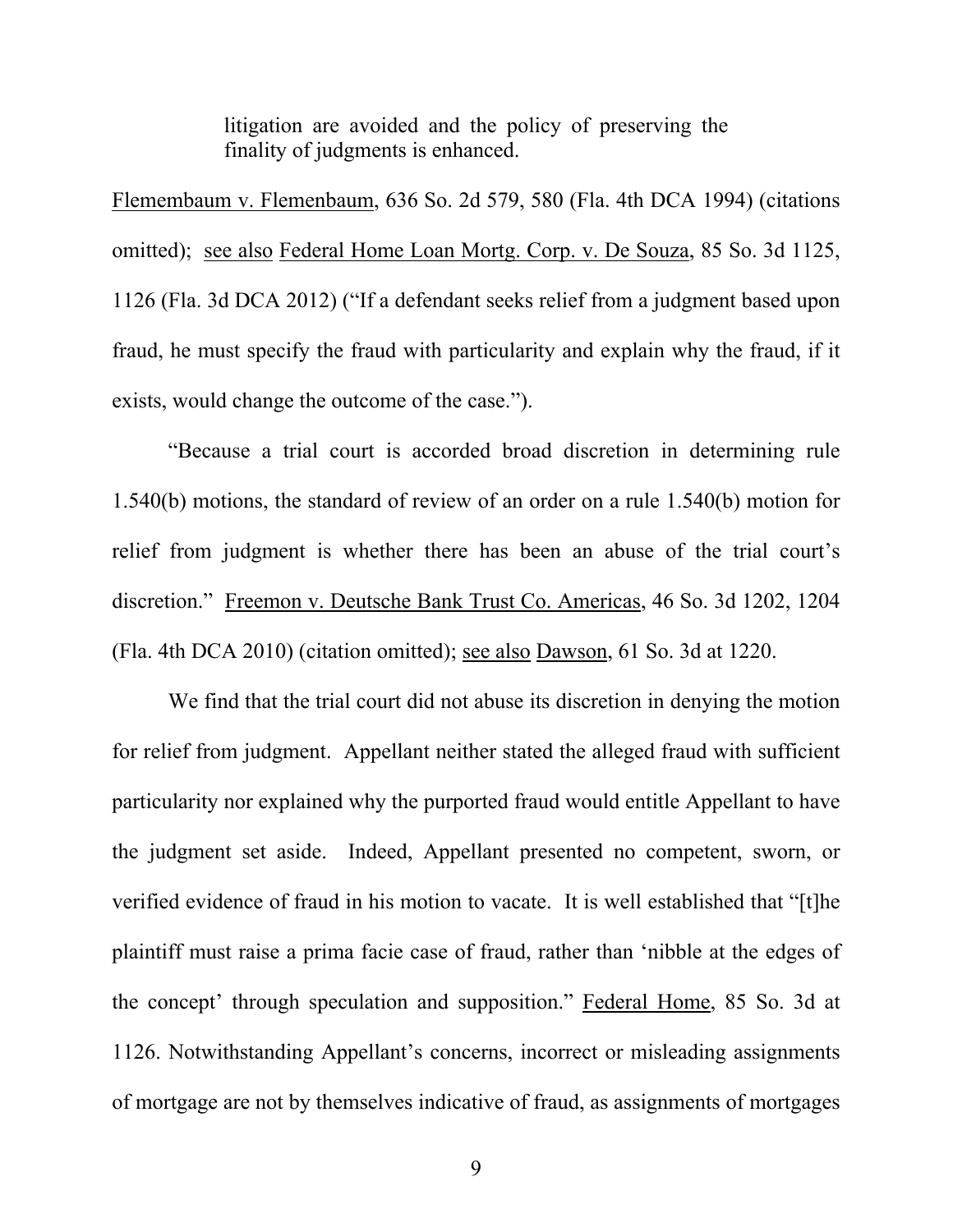litigation are avoided and the policy of preserving the finality of judgments is enhanced.

Flemembaum v. Flemenbaum, 636 So. 2d 579, 580 (Fla. 4th DCA 1994) (citations omitted); see also Federal Home Loan Mortg. Corp. v. De Souza, 85 So. 3d 1125, 1126 (Fla. 3d DCA 2012) ("If a defendant seeks relief from a judgment based upon fraud, he must specify the fraud with particularity and explain why the fraud, if it exists, would change the outcome of the case.").

"Because a trial court is accorded broad discretion in determining rule 1.540(b) motions, the standard of review of an order on a rule 1.540(b) motion for relief from judgment is whether there has been an abuse of the trial court's discretion." Freemon v. Deutsche Bank Trust Co. Americas, 46 So. 3d 1202, 1204 (Fla. 4th DCA 2010) (citation omitted); see also Dawson, 61 So. 3d at 1220.

We find that the trial court did not abuse its discretion in denying the motion for relief from judgment. Appellant neither stated the alleged fraud with sufficient particularity nor explained why the purported fraud would entitle Appellant to have the judgment set aside. Indeed, Appellant presented no competent, sworn, or verified evidence of fraud in his motion to vacate. It is well established that "[t]he plaintiff must raise a prima facie case of fraud, rather than 'nibble at the edges of the concept' through speculation and supposition." Federal Home, 85 So. 3d at 1126. Notwithstanding Appellant's concerns, incorrect or misleading assignments of mortgage are not by themselves indicative of fraud, as assignments of mortgages